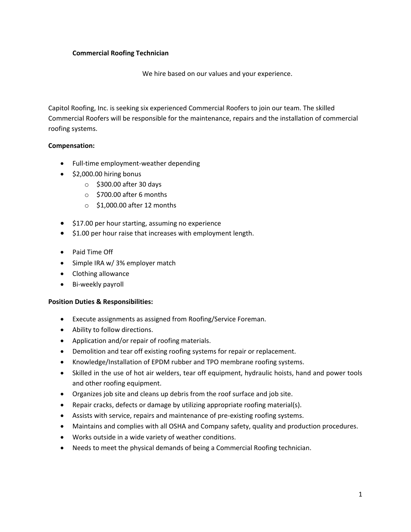## **Commercial Roofing Technician**

We hire based on our values and your experience.

Capitol Roofing, Inc. is seeking six experienced Commercial Roofers to join our team. The skilled Commercial Roofers will be responsible for the maintenance, repairs and the installation of commercial roofing systems.

## **Compensation:**

- Full-time employment-weather depending
- \$2,000.00 hiring bonus
	- o \$300.00 after 30 days
	- o \$700.00 after 6 months
	- o \$1,000.00 after 12 months
- \$17.00 per hour starting, assuming no experience
- \$1.00 per hour raise that increases with employment length.
- Paid Time Off
- Simple IRA w/ 3% employer match
- Clothing allowance
- Bi-weekly payroll

## **Position Duties & Responsibilities:**

- Execute assignments as assigned from Roofing/Service Foreman.
- Ability to follow directions.
- Application and/or repair of roofing materials.
- Demolition and tear off existing roofing systems for repair or replacement.
- Knowledge/Installation of EPDM rubber and TPO membrane roofing systems.
- Skilled in the use of hot air welders, tear off equipment, hydraulic hoists, hand and power tools and other roofing equipment.
- Organizes job site and cleans up debris from the roof surface and job site.
- Repair cracks, defects or damage by utilizing appropriate roofing material(s).
- Assists with service, repairs and maintenance of pre-existing roofing systems.
- Maintains and complies with all OSHA and Company safety, quality and production procedures.
- Works outside in a wide variety of weather conditions.
- Needs to meet the physical demands of being a Commercial Roofing technician.